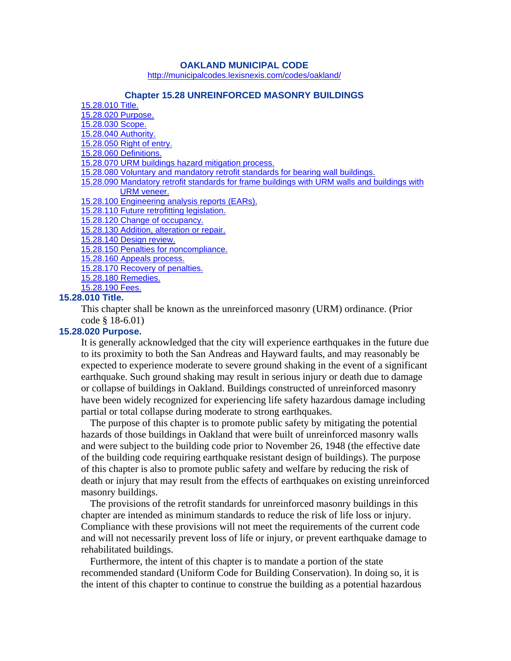#### **OAKLAND MUNICIPAL CODE**

http://municipalcodes.lexisnexis.com/codes/oakland/

#### **Chapter 15.28 UNREINFORCED MASONRY BUILDINGS**

| 15.28.010 Title.                                                                             |
|----------------------------------------------------------------------------------------------|
| 15.28.020 Purpose.                                                                           |
| 15.28.030 Scope.                                                                             |
| 15.28.040 Authority.                                                                         |
| 15.28.050 Right of entry.                                                                    |
| 15.28.060 Definitions.                                                                       |
| 15.28.070 URM buildings hazard mitigation process.                                           |
| 15.28.080 Voluntary and mandatory retrofit standards for bearing wall buildings.             |
| 15.28.090 Mandatory retrofit standards for frame buildings with URM walls and buildings with |
| URM veneer.                                                                                  |
| 15.28.100 Engineering analysis reports (EARs).                                               |
| 15.28.110 Future retrofitting legislation.                                                   |
| 15.28.120 Change of occupancy.                                                               |
| 15.28.130 Addition, alteration or repair.                                                    |
| 15.28.140 Design review.                                                                     |
| 15.28.150 Penalties for noncompliance.                                                       |
| 15.28.160 Appeals process.                                                                   |
| 15.28.170 Recovery of penalties.                                                             |
| 15.28.180 Remedies.                                                                          |
| 15.28.190 Fees.                                                                              |

#### **15.28.010 Title.**

This chapter shall be known as the unreinforced masonry (URM) ordinance. (Prior code § 18-6.01)

### **15.28.020 Purpose.**

It is generally acknowledged that the city will experience earthquakes in the future due to its proximity to both the San Andreas and Hayward faults, and may reasonably be expected to experience moderate to severe ground shaking in the event of a significant earthquake. Such ground shaking may result in serious injury or death due to damage or collapse of buildings in Oakland. Buildings constructed of unreinforced masonry have been widely recognized for experiencing life safety hazardous damage including partial or total collapse during moderate to strong earthquakes.

The purpose of this chapter is to promote public safety by mitigating the potential hazards of those buildings in Oakland that were built of unreinforced masonry walls and were subject to the building code prior to November 26, 1948 (the effective date of the building code requiring earthquake resistant design of buildings). The purpose of this chapter is also to promote public safety and welfare by reducing the risk of death or injury that may result from the effects of earthquakes on existing unreinforced masonry buildings.

The provisions of the retrofit standards for unreinforced masonry buildings in this chapter are intended as minimum standards to reduce the risk of life loss or injury. Compliance with these provisions will not meet the requirements of the current code and will not necessarily prevent loss of life or injury, or prevent earthquake damage to rehabilitated buildings.

Furthermore, the intent of this chapter is to mandate a portion of the state recommended standard (Uniform Code for Building Conservation). In doing so, it is the intent of this chapter to continue to construe the building as a potential hazardous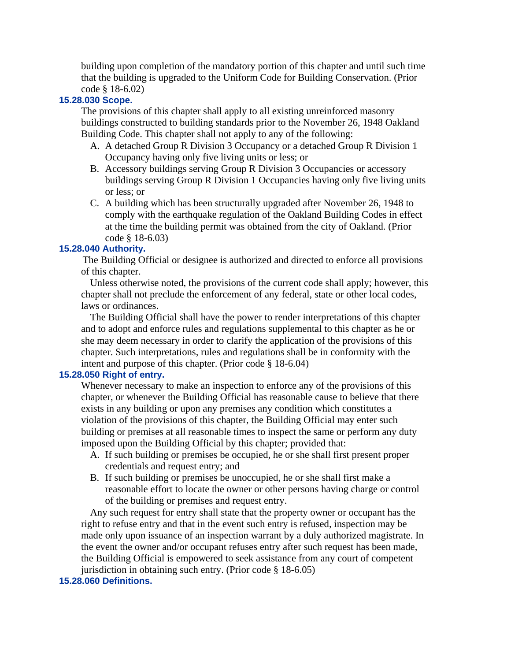building upon completion of the mandatory portion of this chapter and until such time that the building is upgraded to the Uniform Code for Building Conservation. (Prior code § 18-6.02)

# **15.28.030 Scope.**

The provisions of this chapter shall apply to all existing unreinforced masonry buildings constructed to building standards prior to the November 26, 1948 Oakland Building Code. This chapter shall not apply to any of the following:

- A. A detached Group R Division 3 Occupancy or a detached Group R Division 1 Occupancy having only five living units or less; or
- B. Accessory buildings serving Group R Division 3 Occupancies or accessory buildings serving Group R Division 1 Occupancies having only five living units or less; or
- C. A building which has been structurally upgraded after November 26, 1948 to comply with the earthquake regulation of the Oakland Building Codes in effect at the time the building permit was obtained from the city of Oakland. (Prior code § 18-6.03)

### **15.28.040 Authority.**

The Building Official or designee is authorized and directed to enforce all provisions of this chapter.

Unless otherwise noted, the provisions of the current code shall apply; however, this chapter shall not preclude the enforcement of any federal, state or other local codes, laws or ordinances.

The Building Official shall have the power to render interpretations of this chapter and to adopt and enforce rules and regulations supplemental to this chapter as he or she may deem necessary in order to clarify the application of the provisions of this chapter. Such interpretations, rules and regulations shall be in conformity with the intent and purpose of this chapter. (Prior code § 18-6.04)

### **15.28.050 Right of entry.**

Whenever necessary to make an inspection to enforce any of the provisions of this chapter, or whenever the Building Official has reasonable cause to believe that there exists in any building or upon any premises any condition which constitutes a violation of the provisions of this chapter, the Building Official may enter such building or premises at all reasonable times to inspect the same or perform any duty imposed upon the Building Official by this chapter; provided that:

- A. If such building or premises be occupied, he or she shall first present proper credentials and request entry; and
- B. If such building or premises be unoccupied, he or she shall first make a reasonable effort to locate the owner or other persons having charge or control of the building or premises and request entry.

Any such request for entry shall state that the property owner or occupant has the right to refuse entry and that in the event such entry is refused, inspection may be made only upon issuance of an inspection warrant by a duly authorized magistrate. In the event the owner and/or occupant refuses entry after such request has been made, the Building Official is empowered to seek assistance from any court of competent jurisdiction in obtaining such entry. (Prior code § 18-6.05)

### **15.28.060 Definitions.**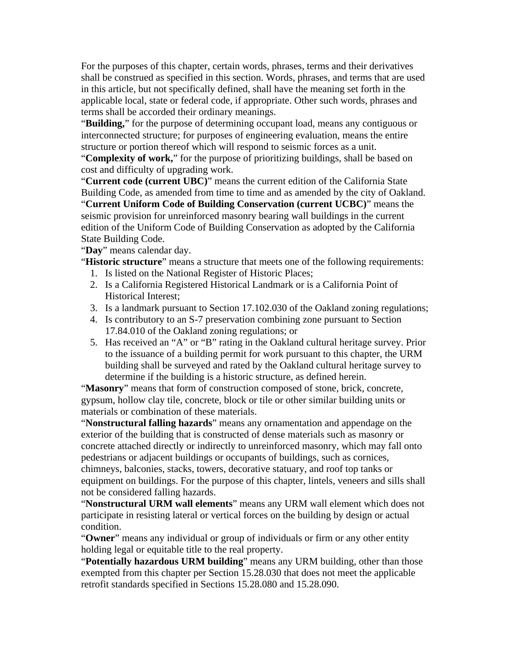For the purposes of this chapter, certain words, phrases, terms and their derivatives shall be construed as specified in this section. Words, phrases, and terms that are used in this article, but not specifically defined, shall have the meaning set forth in the applicable local, state or federal code, if appropriate. Other such words, phrases and terms shall be accorded their ordinary meanings.

"**Building,**" for the purpose of determining occupant load, means any contiguous or interconnected structure; for purposes of engineering evaluation, means the entire structure or portion thereof which will respond to seismic forces as a unit.

"**Complexity of work,**" for the purpose of prioritizing buildings, shall be based on cost and difficulty of upgrading work.

"**Current code (current UBC)**" means the current edition of the California State Building Code, as amended from time to time and as amended by the city of Oakland. "**Current Uniform Code of Building Conservation (current UCBC)**" means the seismic provision for unreinforced masonry bearing wall buildings in the current edition of the Uniform Code of Building Conservation as adopted by the California State Building Code.

"**Day**" means calendar day.

"**Historic structure**" means a structure that meets one of the following requirements:

- 1. Is listed on the National Register of Historic Places;
- 2. Is a California Registered Historical Landmark or is a California Point of Historical Interest;
- 3. Is a landmark pursuant to Section 17.102.030 of the Oakland zoning regulations;
- 4. Is contributory to an S-7 preservation combining zone pursuant to Section 17.84.010 of the Oakland zoning regulations; or
- 5. Has received an "A" or "B" rating in the Oakland cultural heritage survey. Prior to the issuance of a building permit for work pursuant to this chapter, the URM building shall be surveyed and rated by the Oakland cultural heritage survey to determine if the building is a historic structure, as defined herein.

"**Masonry**" means that form of construction composed of stone, brick, concrete, gypsum, hollow clay tile, concrete, block or tile or other similar building units or materials or combination of these materials.

"**Nonstructural falling hazards**" means any ornamentation and appendage on the exterior of the building that is constructed of dense materials such as masonry or concrete attached directly or indirectly to unreinforced masonry, which may fall onto pedestrians or adjacent buildings or occupants of buildings, such as cornices, chimneys, balconies, stacks, towers, decorative statuary, and roof top tanks or equipment on buildings. For the purpose of this chapter, lintels, veneers and sills shall not be considered falling hazards.

"**Nonstructural URM wall elements**" means any URM wall element which does not participate in resisting lateral or vertical forces on the building by design or actual condition.

"**Owner**" means any individual or group of individuals or firm or any other entity holding legal or equitable title to the real property.

"**Potentially hazardous URM building**" means any URM building, other than those exempted from this chapter per Section 15.28.030 that does not meet the applicable retrofit standards specified in Sections 15.28.080 and 15.28.090.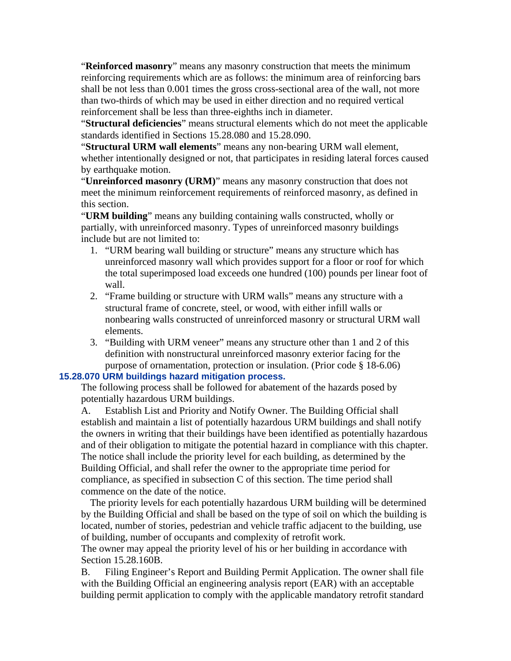"**Reinforced masonry**" means any masonry construction that meets the minimum reinforcing requirements which are as follows: the minimum area of reinforcing bars shall be not less than 0.001 times the gross cross-sectional area of the wall, not more than two-thirds of which may be used in either direction and no required vertical reinforcement shall be less than three-eighths inch in diameter.

"**Structural deficiencies**" means structural elements which do not meet the applicable standards identified in Sections 15.28.080 and 15.28.090.

"**Structural URM wall elements**" means any non-bearing URM wall element, whether intentionally designed or not, that participates in residing lateral forces caused by earthquake motion.

"**Unreinforced masonry (URM)**" means any masonry construction that does not meet the minimum reinforcement requirements of reinforced masonry, as defined in this section.

"**URM building**" means any building containing walls constructed, wholly or partially, with unreinforced masonry. Types of unreinforced masonry buildings include but are not limited to:

- 1. "URM bearing wall building or structure" means any structure which has unreinforced masonry wall which provides support for a floor or roof for which the total superimposed load exceeds one hundred (100) pounds per linear foot of wall.
- 2. "Frame building or structure with URM walls" means any structure with a structural frame of concrete, steel, or wood, with either infill walls or nonbearing walls constructed of unreinforced masonry or structural URM wall elements.
- 3. "Building with URM veneer" means any structure other than 1 and 2 of this definition with nonstructural unreinforced masonry exterior facing for the purpose of ornamentation, protection or insulation. (Prior code § 18-6.06)

## **15.28.070 URM buildings hazard mitigation process.**

The following process shall be followed for abatement of the hazards posed by potentially hazardous URM buildings.

A. Establish List and Priority and Notify Owner. The Building Official shall establish and maintain a list of potentially hazardous URM buildings and shall notify the owners in writing that their buildings have been identified as potentially hazardous and of their obligation to mitigate the potential hazard in compliance with this chapter. The notice shall include the priority level for each building, as determined by the Building Official, and shall refer the owner to the appropriate time period for compliance, as specified in subsection C of this section. The time period shall commence on the date of the notice.

The priority levels for each potentially hazardous URM building will be determined by the Building Official and shall be based on the type of soil on which the building is located, number of stories, pedestrian and vehicle traffic adjacent to the building, use of building, number of occupants and complexity of retrofit work.

The owner may appeal the priority level of his or her building in accordance with Section 15.28.160B.

B. Filing Engineer's Report and Building Permit Application. The owner shall file with the Building Official an engineering analysis report (EAR) with an acceptable building permit application to comply with the applicable mandatory retrofit standard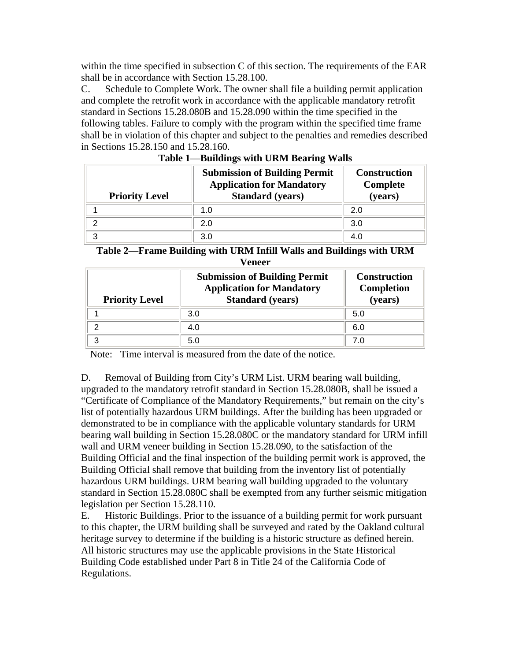within the time specified in subsection C of this section. The requirements of the EAR shall be in accordance with Section 15.28.100.

C. Schedule to Complete Work. The owner shall file a building permit application and complete the retrofit work in accordance with the applicable mandatory retrofit standard in Sections 15.28.080B and 15.28.090 within the time specified in the following tables. Failure to comply with the program within the specified time frame shall be in violation of this chapter and subject to the penalties and remedies described in Sections 15.28.150 and 15.28.160.

| <b>Priority Level</b> | <b>Submission of Building Permit</b><br><b>Application for Mandatory</b><br><b>Standard</b> (years) | <b>Construction</b><br>Complete<br>(years) |
|-----------------------|-----------------------------------------------------------------------------------------------------|--------------------------------------------|
|                       | 1.0                                                                                                 | 2.0                                        |
| ◠                     | 2.0                                                                                                 | 3.0                                        |
| ્ર                    | 3.0                                                                                                 | 4.0                                        |

| Table 1—Buildings with URM Bearing Walls |  |  |
|------------------------------------------|--|--|
|                                          |  |  |

**Table 2**—**Frame Building with URM Infill Walls and Buildings with URM Veneer**

| <b>Priority Level</b> | <b>Submission of Building Permit</b><br><b>Application for Mandatory</b><br><b>Standard</b> (years) | <b>Construction</b><br>Completion<br>(years) |
|-----------------------|-----------------------------------------------------------------------------------------------------|----------------------------------------------|
|                       | 3.0                                                                                                 | 5.0                                          |
| ◠                     | 4.0                                                                                                 | 6.0                                          |
| າ                     | 5.0                                                                                                 | 7.0                                          |

Note: Time interval is measured from the date of the notice.

D. Removal of Building from City's URM List. URM bearing wall building, upgraded to the mandatory retrofit standard in Section 15.28.080B, shall be issued a "Certificate of Compliance of the Mandatory Requirements," but remain on the city's list of potentially hazardous URM buildings. After the building has been upgraded or demonstrated to be in compliance with the applicable voluntary standards for URM bearing wall building in Section 15.28.080C or the mandatory standard for URM infill wall and URM veneer building in Section 15.28.090, to the satisfaction of the Building Official and the final inspection of the building permit work is approved, the Building Official shall remove that building from the inventory list of potentially hazardous URM buildings. URM bearing wall building upgraded to the voluntary standard in Section 15.28.080C shall be exempted from any further seismic mitigation legislation per Section 15.28.110.

E. Historic Buildings. Prior to the issuance of a building permit for work pursuant to this chapter, the URM building shall be surveyed and rated by the Oakland cultural heritage survey to determine if the building is a historic structure as defined herein. All historic structures may use the applicable provisions in the State Historical Building Code established under Part 8 in Title 24 of the California Code of Regulations.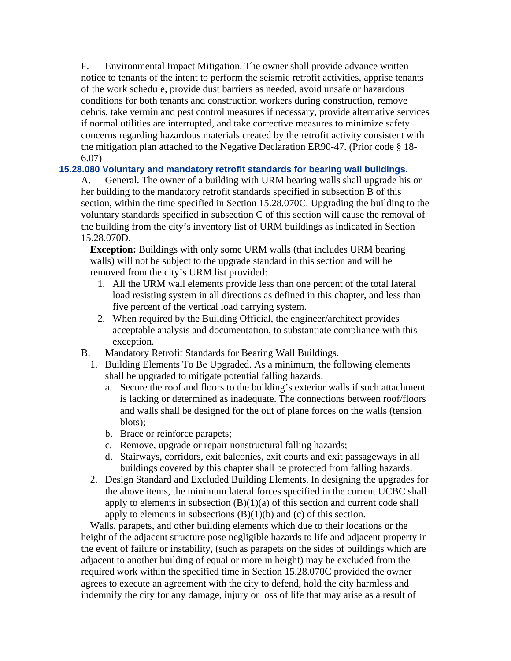F. Environmental Impact Mitigation. The owner shall provide advance written notice to tenants of the intent to perform the seismic retrofit activities, apprise tenants of the work schedule, provide dust barriers as needed, avoid unsafe or hazardous conditions for both tenants and construction workers during construction, remove debris, take vermin and pest control measures if necessary, provide alternative services if normal utilities are interrupted, and take corrective measures to minimize safety concerns regarding hazardous materials created by the retrofit activity consistent with the mitigation plan attached to the Negative Declaration ER90-47. (Prior code § 18- 6.07)

# **15.28.080 Voluntary and mandatory retrofit standards for bearing wall buildings.**

A. General. The owner of a building with URM bearing walls shall upgrade his or her building to the mandatory retrofit standards specified in subsection B of this section, within the time specified in Section 15.28.070C. Upgrading the building to the voluntary standards specified in subsection C of this section will cause the removal of the building from the city's inventory list of URM buildings as indicated in Section 15.28.070D.

**Exception:** Buildings with only some URM walls (that includes URM bearing walls) will not be subject to the upgrade standard in this section and will be removed from the city's URM list provided:

- 1. All the URM wall elements provide less than one percent of the total lateral load resisting system in all directions as defined in this chapter, and less than five percent of the vertical load carrying system.
- 2. When required by the Building Official, the engineer/architect provides acceptable analysis and documentation, to substantiate compliance with this exception.
- B. Mandatory Retrofit Standards for Bearing Wall Buildings.
	- 1. Building Elements To Be Upgraded. As a minimum, the following elements shall be upgraded to mitigate potential falling hazards:
		- a. Secure the roof and floors to the building's exterior walls if such attachment is lacking or determined as inadequate. The connections between roof/floors and walls shall be designed for the out of plane forces on the walls (tension blots);
		- b. Brace or reinforce parapets;
		- c. Remove, upgrade or repair nonstructural falling hazards;
		- d. Stairways, corridors, exit balconies, exit courts and exit passageways in all buildings covered by this chapter shall be protected from falling hazards.
	- 2. Design Standard and Excluded Building Elements. In designing the upgrades for the above items, the minimum lateral forces specified in the current UCBC shall apply to elements in subsection  $(B)(1)(a)$  of this section and current code shall apply to elements in subsections  $(B)(1)(b)$  and  $(c)$  of this section.

Walls, parapets, and other building elements which due to their locations or the height of the adjacent structure pose negligible hazards to life and adjacent property in the event of failure or instability, (such as parapets on the sides of buildings which are adjacent to another building of equal or more in height) may be excluded from the required work within the specified time in Section 15.28.070C provided the owner agrees to execute an agreement with the city to defend, hold the city harmless and indemnify the city for any damage, injury or loss of life that may arise as a result of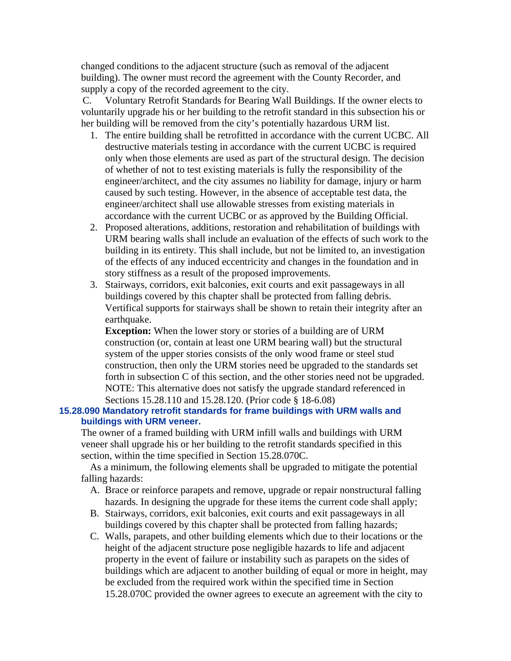changed conditions to the adjacent structure (such as removal of the adjacent building). The owner must record the agreement with the County Recorder, and supply a copy of the recorded agreement to the city.

C. Voluntary Retrofit Standards for Bearing Wall Buildings. If the owner elects to voluntarily upgrade his or her building to the retrofit standard in this subsection his or her building will be removed from the city's potentially hazardous URM list.

- 1. The entire building shall be retrofitted in accordance with the current UCBC. All destructive materials testing in accordance with the current UCBC is required only when those elements are used as part of the structural design. The decision of whether of not to test existing materials is fully the responsibility of the engineer/architect, and the city assumes no liability for damage, injury or harm caused by such testing. However, in the absence of acceptable test data, the engineer/architect shall use allowable stresses from existing materials in accordance with the current UCBC or as approved by the Building Official.
- 2. Proposed alterations, additions, restoration and rehabilitation of buildings with URM bearing walls shall include an evaluation of the effects of such work to the building in its entirety. This shall include, but not be limited to, an investigation of the effects of any induced eccentricity and changes in the foundation and in story stiffness as a result of the proposed improvements.
- 3. Stairways, corridors, exit balconies, exit courts and exit passageways in all buildings covered by this chapter shall be protected from falling debris. Vertifical supports for stairways shall be shown to retain their integrity after an earthquake.

**Exception:** When the lower story or stories of a building are of URM construction (or, contain at least one URM bearing wall) but the structural system of the upper stories consists of the only wood frame or steel stud construction, then only the URM stories need be upgraded to the standards set forth in subsection C of this section, and the other stories need not be upgraded. NOTE: This alternative does not satisfy the upgrade standard referenced in Sections 15.28.110 and 15.28.120. (Prior code § 18-6.08)

## **15.28.090 Mandatory retrofit standards for frame buildings with URM walls and buildings with URM veneer.**

The owner of a framed building with URM infill walls and buildings with URM veneer shall upgrade his or her building to the retrofit standards specified in this section, within the time specified in Section 15.28.070C.

As a minimum, the following elements shall be upgraded to mitigate the potential falling hazards:

- A. Brace or reinforce parapets and remove, upgrade or repair nonstructural falling hazards. In designing the upgrade for these items the current code shall apply;
- B. Stairways, corridors, exit balconies, exit courts and exit passageways in all buildings covered by this chapter shall be protected from falling hazards;
- C. Walls, parapets, and other building elements which due to their locations or the height of the adjacent structure pose negligible hazards to life and adjacent property in the event of failure or instability such as parapets on the sides of buildings which are adjacent to another building of equal or more in height, may be excluded from the required work within the specified time in Section 15.28.070C provided the owner agrees to execute an agreement with the city to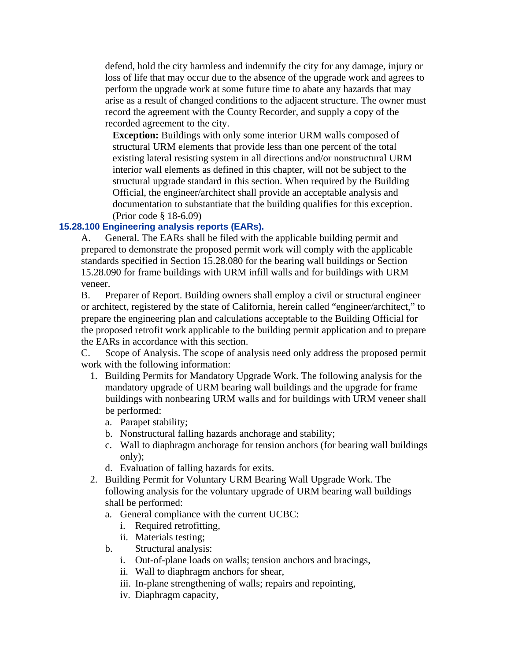defend, hold the city harmless and indemnify the city for any damage, injury or loss of life that may occur due to the absence of the upgrade work and agrees to perform the upgrade work at some future time to abate any hazards that may arise as a result of changed conditions to the adjacent structure. The owner must record the agreement with the County Recorder, and supply a copy of the recorded agreement to the city.

**Exception:** Buildings with only some interior URM walls composed of structural URM elements that provide less than one percent of the total existing lateral resisting system in all directions and/or nonstructural URM interior wall elements as defined in this chapter, will not be subject to the structural upgrade standard in this section. When required by the Building Official, the engineer/architect shall provide an acceptable analysis and documentation to substantiate that the building qualifies for this exception. (Prior code § 18-6.09)

## **15.28.100 Engineering analysis reports (EARs).**

A. General. The EARs shall be filed with the applicable building permit and prepared to demonstrate the proposed permit work will comply with the applicable standards specified in Section 15.28.080 for the bearing wall buildings or Section 15.28.090 for frame buildings with URM infill walls and for buildings with URM veneer.

B. Preparer of Report. Building owners shall employ a civil or structural engineer or architect, registered by the state of California, herein called "engineer/architect," to prepare the engineering plan and calculations acceptable to the Building Official for the proposed retrofit work applicable to the building permit application and to prepare the EARs in accordance with this section.

C. Scope of Analysis. The scope of analysis need only address the proposed permit work with the following information:

- 1. Building Permits for Mandatory Upgrade Work. The following analysis for the mandatory upgrade of URM bearing wall buildings and the upgrade for frame buildings with nonbearing URM walls and for buildings with URM veneer shall be performed:
	- a. Parapet stability;
	- b. Nonstructural falling hazards anchorage and stability;
	- c. Wall to diaphragm anchorage for tension anchors (for bearing wall buildings only);
	- d. Evaluation of falling hazards for exits.
- 2. Building Permit for Voluntary URM Bearing Wall Upgrade Work. The following analysis for the voluntary upgrade of URM bearing wall buildings shall be performed:
	- a. General compliance with the current UCBC:
		- i. Required retrofitting,
		- ii. Materials testing;
	- b. Structural analysis:
		- i. Out-of-plane loads on walls; tension anchors and bracings,
		- ii. Wall to diaphragm anchors for shear,
		- iii. In-plane strengthening of walls; repairs and repointing,
		- iv. Diaphragm capacity,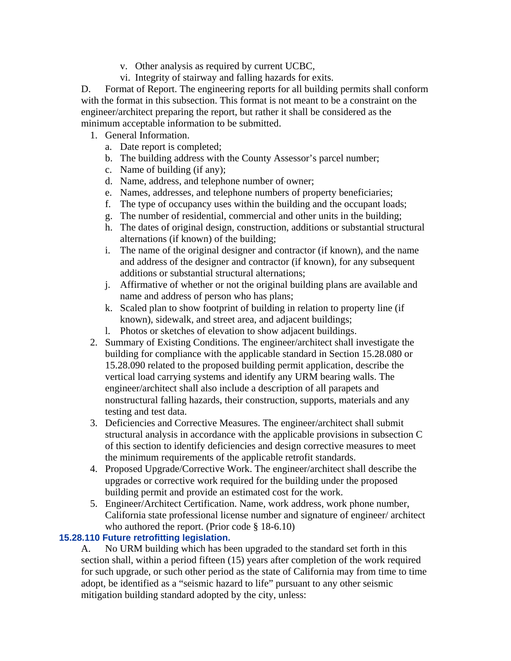- v. Other analysis as required by current UCBC,
- vi. Integrity of stairway and falling hazards for exits.

D. Format of Report. The engineering reports for all building permits shall conform with the format in this subsection. This format is not meant to be a constraint on the engineer/architect preparing the report, but rather it shall be considered as the minimum acceptable information to be submitted.

- 1. General Information.
	- a. Date report is completed;
	- b. The building address with the County Assessor's parcel number;
	- c. Name of building (if any);
	- d. Name, address, and telephone number of owner;
	- e. Names, addresses, and telephone numbers of property beneficiaries;
	- f. The type of occupancy uses within the building and the occupant loads;
	- g. The number of residential, commercial and other units in the building;
	- h. The dates of original design, construction, additions or substantial structural alternations (if known) of the building;
	- i. The name of the original designer and contractor (if known), and the name and address of the designer and contractor (if known), for any subsequent additions or substantial structural alternations;
	- j. Affirmative of whether or not the original building plans are available and name and address of person who has plans;
	- k. Scaled plan to show footprint of building in relation to property line (if known), sidewalk, and street area, and adjacent buildings;
	- l. Photos or sketches of elevation to show adjacent buildings.
- 2. Summary of Existing Conditions. The engineer/architect shall investigate the building for compliance with the applicable standard in Section 15.28.080 or 15.28.090 related to the proposed building permit application, describe the vertical load carrying systems and identify any URM bearing walls. The engineer/architect shall also include a description of all parapets and nonstructural falling hazards, their construction, supports, materials and any testing and test data.
- 3. Deficiencies and Corrective Measures. The engineer/architect shall submit structural analysis in accordance with the applicable provisions in subsection C of this section to identify deficiencies and design corrective measures to meet the minimum requirements of the applicable retrofit standards.
- 4. Proposed Upgrade/Corrective Work. The engineer/architect shall describe the upgrades or corrective work required for the building under the proposed building permit and provide an estimated cost for the work.
- 5. Engineer/Architect Certification. Name, work address, work phone number, California state professional license number and signature of engineer/ architect who authored the report. (Prior code § 18-6.10)

# **15.28.110 Future retrofitting legislation.**

A. No URM building which has been upgraded to the standard set forth in this section shall, within a period fifteen (15) years after completion of the work required for such upgrade, or such other period as the state of California may from time to time adopt, be identified as a "seismic hazard to life" pursuant to any other seismic mitigation building standard adopted by the city, unless: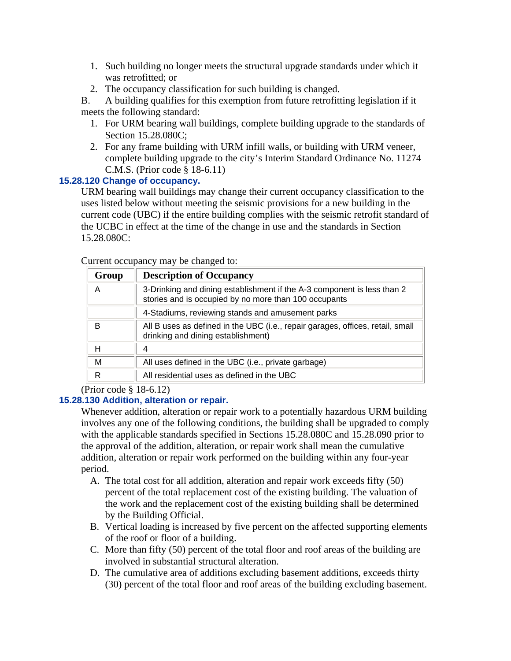- 1. Such building no longer meets the structural upgrade standards under which it was retrofitted; or
- 2. The occupancy classification for such building is changed.

B. A building qualifies for this exemption from future retrofitting legislation if it meets the following standard:

- 1. For URM bearing wall buildings, complete building upgrade to the standards of Section 15.28.080C;
- 2. For any frame building with URM infill walls, or building with URM veneer, complete building upgrade to the city's Interim Standard Ordinance No. 11274 C.M.S. (Prior code § 18-6.11)

# **15.28.120 Change of occupancy.**

URM bearing wall buildings may change their current occupancy classification to the uses listed below without meeting the seismic provisions for a new building in the current code (UBC) if the entire building complies with the seismic retrofit standard of the UCBC in effect at the time of the change in use and the standards in Section 15.28.080C:

| Group | <b>Description of Occupancy</b>                                                                                                  |
|-------|----------------------------------------------------------------------------------------------------------------------------------|
| Α     | 3-Drinking and dining establishment if the A-3 component is less than 2<br>stories and is occupied by no more than 100 occupants |
|       | 4-Stadiums, reviewing stands and amusement parks                                                                                 |
| B     | All B uses as defined in the UBC (i.e., repair garages, offices, retail, small<br>drinking and dining establishment)             |
| н     | 4                                                                                                                                |
| M     | All uses defined in the UBC (i.e., private garbage)                                                                              |
| R     | All residential uses as defined in the UBC                                                                                       |

Current occupancy may be changed to:

(Prior code § 18-6.12)

# **15.28.130 Addition, alteration or repair.**

Whenever addition, alteration or repair work to a potentially hazardous URM building involves any one of the following conditions, the building shall be upgraded to comply with the applicable standards specified in Sections 15.28.080C and 15.28.090 prior to the approval of the addition, alteration, or repair work shall mean the cumulative addition, alteration or repair work performed on the building within any four-year period.

- A. The total cost for all addition, alteration and repair work exceeds fifty (50) percent of the total replacement cost of the existing building. The valuation of the work and the replacement cost of the existing building shall be determined by the Building Official.
- B. Vertical loading is increased by five percent on the affected supporting elements of the roof or floor of a building.
- C. More than fifty (50) percent of the total floor and roof areas of the building are involved in substantial structural alteration.
- D. The cumulative area of additions excluding basement additions, exceeds thirty (30) percent of the total floor and roof areas of the building excluding basement.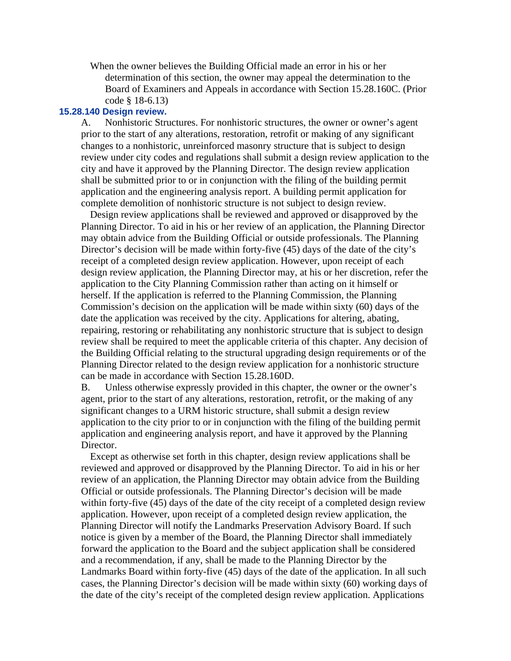When the owner believes the Building Official made an error in his or her determination of this section, the owner may appeal the determination to the Board of Examiners and Appeals in accordance with Section 15.28.160C. (Prior code § 18-6.13)

### **15.28.140 Design review.**

A. Nonhistoric Structures. For nonhistoric structures, the owner or owner's agent prior to the start of any alterations, restoration, retrofit or making of any significant changes to a nonhistoric, unreinforced masonry structure that is subject to design review under city codes and regulations shall submit a design review application to the city and have it approved by the Planning Director. The design review application shall be submitted prior to or in conjunction with the filing of the building permit application and the engineering analysis report. A building permit application for complete demolition of nonhistoric structure is not subject to design review.

Design review applications shall be reviewed and approved or disapproved by the Planning Director. To aid in his or her review of an application, the Planning Director may obtain advice from the Building Official or outside professionals. The Planning Director's decision will be made within forty-five (45) days of the date of the city's receipt of a completed design review application. However, upon receipt of each design review application, the Planning Director may, at his or her discretion, refer the application to the City Planning Commission rather than acting on it himself or herself. If the application is referred to the Planning Commission, the Planning Commission's decision on the application will be made within sixty (60) days of the date the application was received by the city. Applications for altering, abating, repairing, restoring or rehabilitating any nonhistoric structure that is subject to design review shall be required to meet the applicable criteria of this chapter. Any decision of the Building Official relating to the structural upgrading design requirements or of the Planning Director related to the design review application for a nonhistoric structure can be made in accordance with Section 15.28.160D.

B. Unless otherwise expressly provided in this chapter, the owner or the owner's agent, prior to the start of any alterations, restoration, retrofit, or the making of any significant changes to a URM historic structure, shall submit a design review application to the city prior to or in conjunction with the filing of the building permit application and engineering analysis report, and have it approved by the Planning Director.

Except as otherwise set forth in this chapter, design review applications shall be reviewed and approved or disapproved by the Planning Director. To aid in his or her review of an application, the Planning Director may obtain advice from the Building Official or outside professionals. The Planning Director's decision will be made within forty-five (45) days of the date of the city receipt of a completed design review application. However, upon receipt of a completed design review application, the Planning Director will notify the Landmarks Preservation Advisory Board. If such notice is given by a member of the Board, the Planning Director shall immediately forward the application to the Board and the subject application shall be considered and a recommendation, if any, shall be made to the Planning Director by the Landmarks Board within forty-five (45) days of the date of the application. In all such cases, the Planning Director's decision will be made within sixty (60) working days of the date of the city's receipt of the completed design review application. Applications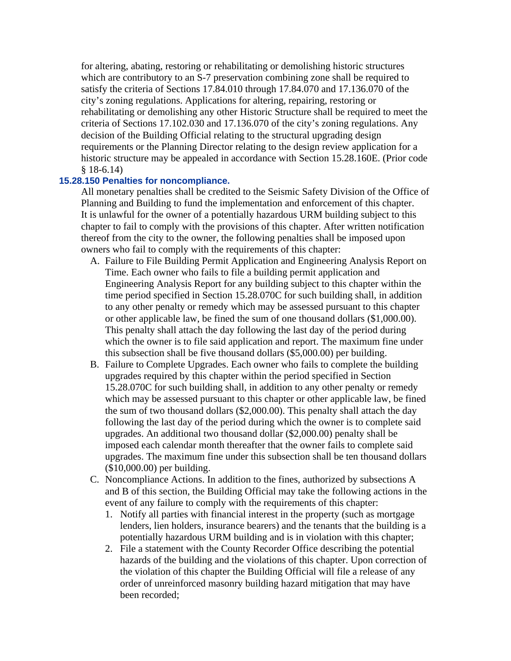for altering, abating, restoring or rehabilitating or demolishing historic structures which are contributory to an S-7 preservation combining zone shall be required to satisfy the criteria of Sections 17.84.010 through 17.84.070 and 17.136.070 of the city's zoning regulations. Applications for altering, repairing, restoring or rehabilitating or demolishing any other Historic Structure shall be required to meet the criteria of Sections 17.102.030 and 17.136.070 of the city's zoning regulations. Any decision of the Building Official relating to the structural upgrading design requirements or the Planning Director relating to the design review application for a historic structure may be appealed in accordance with Section 15.28.160E. (Prior code § 18-6.14)

## **15.28.150 Penalties for noncompliance.**

All monetary penalties shall be credited to the Seismic Safety Division of the Office of Planning and Building to fund the implementation and enforcement of this chapter. It is unlawful for the owner of a potentially hazardous URM building subject to this chapter to fail to comply with the provisions of this chapter. After written notification thereof from the city to the owner, the following penalties shall be imposed upon owners who fail to comply with the requirements of this chapter:

- A. Failure to File Building Permit Application and Engineering Analysis Report on Time. Each owner who fails to file a building permit application and Engineering Analysis Report for any building subject to this chapter within the time period specified in Section 15.28.070C for such building shall, in addition to any other penalty or remedy which may be assessed pursuant to this chapter or other applicable law, be fined the sum of one thousand dollars (\$1,000.00). This penalty shall attach the day following the last day of the period during which the owner is to file said application and report. The maximum fine under this subsection shall be five thousand dollars (\$5,000.00) per building.
- B. Failure to Complete Upgrades. Each owner who fails to complete the building upgrades required by this chapter within the period specified in Section 15.28.070C for such building shall, in addition to any other penalty or remedy which may be assessed pursuant to this chapter or other applicable law, be fined the sum of two thousand dollars (\$2,000.00). This penalty shall attach the day following the last day of the period during which the owner is to complete said upgrades. An additional two thousand dollar (\$2,000.00) penalty shall be imposed each calendar month thereafter that the owner fails to complete said upgrades. The maximum fine under this subsection shall be ten thousand dollars (\$10,000.00) per building.
- C. Noncompliance Actions. In addition to the fines, authorized by subsections A and B of this section, the Building Official may take the following actions in the event of any failure to comply with the requirements of this chapter:
	- 1. Notify all parties with financial interest in the property (such as mortgage lenders, lien holders, insurance bearers) and the tenants that the building is a potentially hazardous URM building and is in violation with this chapter;
	- 2. File a statement with the County Recorder Office describing the potential hazards of the building and the violations of this chapter. Upon correction of the violation of this chapter the Building Official will file a release of any order of unreinforced masonry building hazard mitigation that may have been recorded;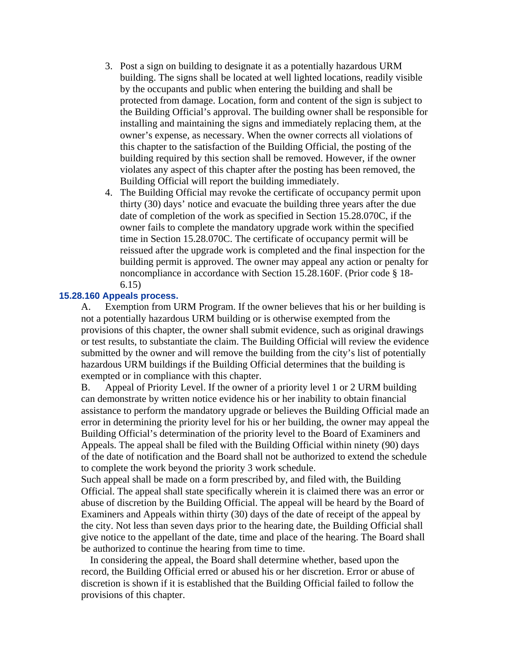- 3. Post a sign on building to designate it as a potentially hazardous URM building. The signs shall be located at well lighted locations, readily visible by the occupants and public when entering the building and shall be protected from damage. Location, form and content of the sign is subject to the Building Official's approval. The building owner shall be responsible for installing and maintaining the signs and immediately replacing them, at the owner's expense, as necessary. When the owner corrects all violations of this chapter to the satisfaction of the Building Official, the posting of the building required by this section shall be removed. However, if the owner violates any aspect of this chapter after the posting has been removed, the Building Official will report the building immediately.
- 4. The Building Official may revoke the certificate of occupancy permit upon thirty (30) days' notice and evacuate the building three years after the due date of completion of the work as specified in Section 15.28.070C, if the owner fails to complete the mandatory upgrade work within the specified time in Section 15.28.070C. The certificate of occupancy permit will be reissued after the upgrade work is completed and the final inspection for the building permit is approved. The owner may appeal any action or penalty for noncompliance in accordance with Section 15.28.160F. (Prior code § 18- 6.15)

### **15.28.160 Appeals process.**

A. Exemption from URM Program. If the owner believes that his or her building is not a potentially hazardous URM building or is otherwise exempted from the provisions of this chapter, the owner shall submit evidence, such as original drawings or test results, to substantiate the claim. The Building Official will review the evidence submitted by the owner and will remove the building from the city's list of potentially hazardous URM buildings if the Building Official determines that the building is exempted or in compliance with this chapter.

B. Appeal of Priority Level. If the owner of a priority level 1 or 2 URM building can demonstrate by written notice evidence his or her inability to obtain financial assistance to perform the mandatory upgrade or believes the Building Official made an error in determining the priority level for his or her building, the owner may appeal the Building Official's determination of the priority level to the Board of Examiners and Appeals. The appeal shall be filed with the Building Official within ninety (90) days of the date of notification and the Board shall not be authorized to extend the schedule to complete the work beyond the priority 3 work schedule.

Such appeal shall be made on a form prescribed by, and filed with, the Building Official. The appeal shall state specifically wherein it is claimed there was an error or abuse of discretion by the Building Official. The appeal will be heard by the Board of Examiners and Appeals within thirty (30) days of the date of receipt of the appeal by the city. Not less than seven days prior to the hearing date, the Building Official shall give notice to the appellant of the date, time and place of the hearing. The Board shall be authorized to continue the hearing from time to time.

In considering the appeal, the Board shall determine whether, based upon the record, the Building Official erred or abused his or her discretion. Error or abuse of discretion is shown if it is established that the Building Official failed to follow the provisions of this chapter.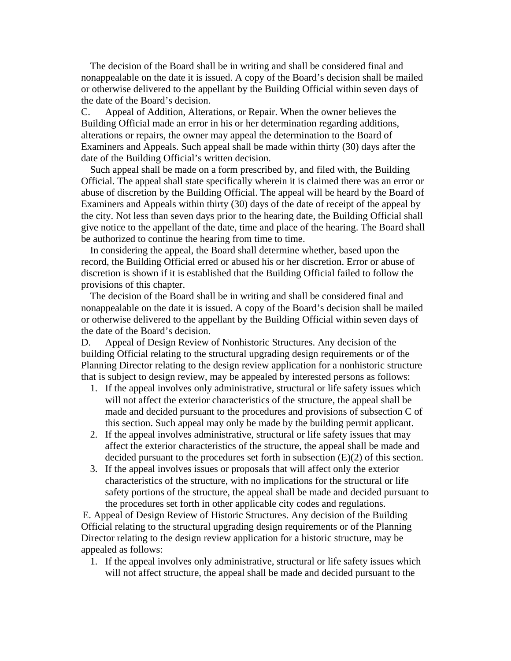The decision of the Board shall be in writing and shall be considered final and nonappealable on the date it is issued. A copy of the Board's decision shall be mailed or otherwise delivered to the appellant by the Building Official within seven days of the date of the Board's decision.

C. Appeal of Addition, Alterations, or Repair. When the owner believes the Building Official made an error in his or her determination regarding additions, alterations or repairs, the owner may appeal the determination to the Board of Examiners and Appeals. Such appeal shall be made within thirty (30) days after the date of the Building Official's written decision.

Such appeal shall be made on a form prescribed by, and filed with, the Building Official. The appeal shall state specifically wherein it is claimed there was an error or abuse of discretion by the Building Official. The appeal will be heard by the Board of Examiners and Appeals within thirty (30) days of the date of receipt of the appeal by the city. Not less than seven days prior to the hearing date, the Building Official shall give notice to the appellant of the date, time and place of the hearing. The Board shall be authorized to continue the hearing from time to time.

In considering the appeal, the Board shall determine whether, based upon the record, the Building Official erred or abused his or her discretion. Error or abuse of discretion is shown if it is established that the Building Official failed to follow the provisions of this chapter.

The decision of the Board shall be in writing and shall be considered final and nonappealable on the date it is issued. A copy of the Board's decision shall be mailed or otherwise delivered to the appellant by the Building Official within seven days of the date of the Board's decision.

D. Appeal of Design Review of Nonhistoric Structures. Any decision of the building Official relating to the structural upgrading design requirements or of the Planning Director relating to the design review application for a nonhistoric structure that is subject to design review, may be appealed by interested persons as follows:

- 1. If the appeal involves only administrative, structural or life safety issues which will not affect the exterior characteristics of the structure, the appeal shall be made and decided pursuant to the procedures and provisions of subsection C of this section. Such appeal may only be made by the building permit applicant.
- 2. If the appeal involves administrative, structural or life safety issues that may affect the exterior characteristics of the structure, the appeal shall be made and decided pursuant to the procedures set forth in subsection (E)(2) of this section.
- 3. If the appeal involves issues or proposals that will affect only the exterior characteristics of the structure, with no implications for the structural or life safety portions of the structure, the appeal shall be made and decided pursuant to the procedures set forth in other applicable city codes and regulations.

E. Appeal of Design Review of Historic Structures. Any decision of the Building Official relating to the structural upgrading design requirements or of the Planning Director relating to the design review application for a historic structure, may be appealed as follows:

1. If the appeal involves only administrative, structural or life safety issues which will not affect structure, the appeal shall be made and decided pursuant to the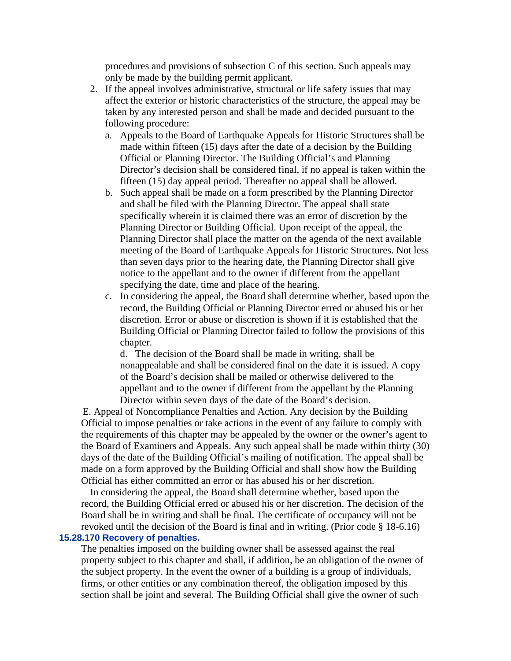procedures and provisions of subsection C of this section. Such appeals may only be made by the building permit applicant.

- 2. If the appeal involves administrative, structural or life safety issues that may affect the exterior or historic characteristics of the structure, the appeal may be taken by any interested person and shall be made and decided pursuant to the following procedure:
	- a. Appeals to the Board of Earthquake Appeals for Historic Structures shall be made within fifteen (15) days after the date of a decision by the Building Official or Planning Director. The Building Official's and Planning Director's decision shall be considered final, if no appeal is taken within the fifteen (15) day appeal period. Thereafter no appeal shall be allowed.
	- b. Such appeal shall be made on a form prescribed by the Planning Director and shall be filed with the Planning Director. The appeal shall state specifically wherein it is claimed there was an error of discretion by the Planning Director or Building Official. Upon receipt of the appeal, the Planning Director shall place the matter on the agenda of the next available meeting of the Board of Earthquake Appeals for Historic Structures. Not less than seven days prior to the hearing date, the Planning Director shall give notice to the appellant and to the owner if different from the appellant specifying the date, time and place of the hearing.
	- c. In considering the appeal, the Board shall determine whether, based upon the record, the Building Official or Planning Director erred or abused his or her discretion. Error or abuse or discretion is shown if it is established that the Building Official or Planning Director failed to follow the provisions of this chapter.

d. The decision of the Board shall be made in writing, shall be nonappealable and shall be considered final on the date it is issued. A copy of the Board's decision shall be mailed or otherwise delivered to the appellant and to the owner if different from the appellant by the Planning Director within seven days of the date of the Board's decision.

E. Appeal of Noncompliance Penalties and Action. Any decision by the Building Official to impose penalties or take actions in the event of any failure to comply with the requirements of this chapter may be appealed by the owner or the owner's agent to the Board of Examiners and Appeals. Any such appeal shall be made within thirty (30) days of the date of the Building Official's mailing of notification. The appeal shall be made on a form approved by the Building Official and shall show how the Building Official has either committed an error or has abused his or her discretion.

In considering the appeal, the Board shall determine whether, based upon the record, the Building Official erred or abused his or her discretion. The decision of the Board shall be in writing and shall be final. The certificate of occupancy will not be revoked until the decision of the Board is final and in writing. (Prior code § 18-6.16)

### **15.28.170 Recovery of penalties.**

The penalties imposed on the building owner shall be assessed against the real property subject to this chapter and shall, if addition, be an obligation of the owner of the subject property. In the event the owner of a building is a group of individuals, firms, or other entities or any combination thereof, the obligation imposed by this section shall be joint and several. The Building Official shall give the owner of such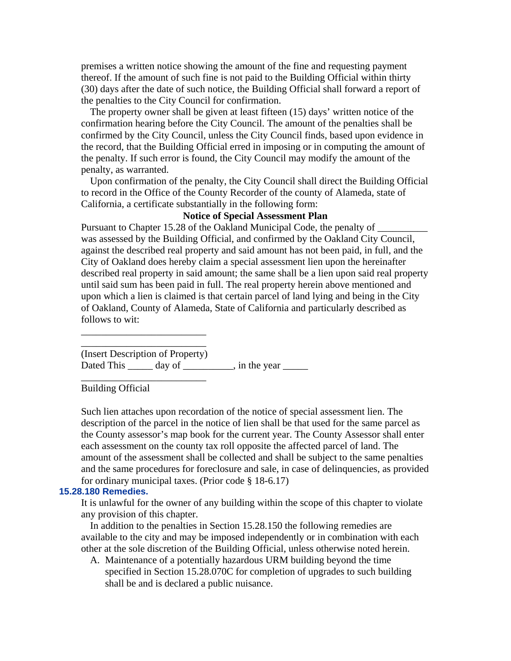premises a written notice showing the amount of the fine and requesting payment thereof. If the amount of such fine is not paid to the Building Official within thirty (30) days after the date of such notice, the Building Official shall forward a report of the penalties to the City Council for confirmation.

The property owner shall be given at least fifteen (15) days' written notice of the confirmation hearing before the City Council. The amount of the penalties shall be confirmed by the City Council, unless the City Council finds, based upon evidence in the record, that the Building Official erred in imposing or in computing the amount of the penalty. If such error is found, the City Council may modify the amount of the penalty, as warranted.

Upon confirmation of the penalty, the City Council shall direct the Building Official to record in the Office of the County Recorder of the county of Alameda, state of California, a certificate substantially in the following form:

# **Notice of Special Assessment Plan**

Pursuant to Chapter 15.28 of the Oakland Municipal Code, the penalty of \_\_\_\_\_\_\_\_\_ was assessed by the Building Official, and confirmed by the Oakland City Council, against the described real property and said amount has not been paid, in full, and the City of Oakland does hereby claim a special assessment lien upon the hereinafter described real property in said amount; the same shall be a lien upon said real property until said sum has been paid in full. The real property herein above mentioned and upon which a lien is claimed is that certain parcel of land lying and being in the City of Oakland, County of Alameda, State of California and particularly described as follows to wit:

(Insert Description of Property) Dated This  $\frac{1}{\sqrt{2\pi}}$  day of  $\frac{1}{\sqrt{2\pi}}$ , in the year  $\frac{1}{\sqrt{2\pi}}$ 

Building Official

\_\_\_\_\_\_\_\_\_\_\_\_\_\_\_\_\_\_\_\_\_\_\_\_\_ \_\_\_\_\_\_\_\_\_\_\_\_\_\_\_\_\_\_\_\_\_\_\_\_\_

\_\_\_\_\_\_\_\_\_\_\_\_\_\_\_\_\_\_\_\_\_\_\_\_\_

Such lien attaches upon recordation of the notice of special assessment lien. The description of the parcel in the notice of lien shall be that used for the same parcel as the County assessor's map book for the current year. The County Assessor shall enter each assessment on the county tax roll opposite the affected parcel of land. The amount of the assessment shall be collected and shall be subject to the same penalties and the same procedures for foreclosure and sale, in case of delinquencies, as provided for ordinary municipal taxes. (Prior code § 18-6.17)

#### **15.28.180 Remedies.**

It is unlawful for the owner of any building within the scope of this chapter to violate any provision of this chapter.

In addition to the penalties in Section 15.28.150 the following remedies are available to the city and may be imposed independently or in combination with each other at the sole discretion of the Building Official, unless otherwise noted herein.

A. Maintenance of a potentially hazardous URM building beyond the time specified in Section 15.28.070C for completion of upgrades to such building shall be and is declared a public nuisance.